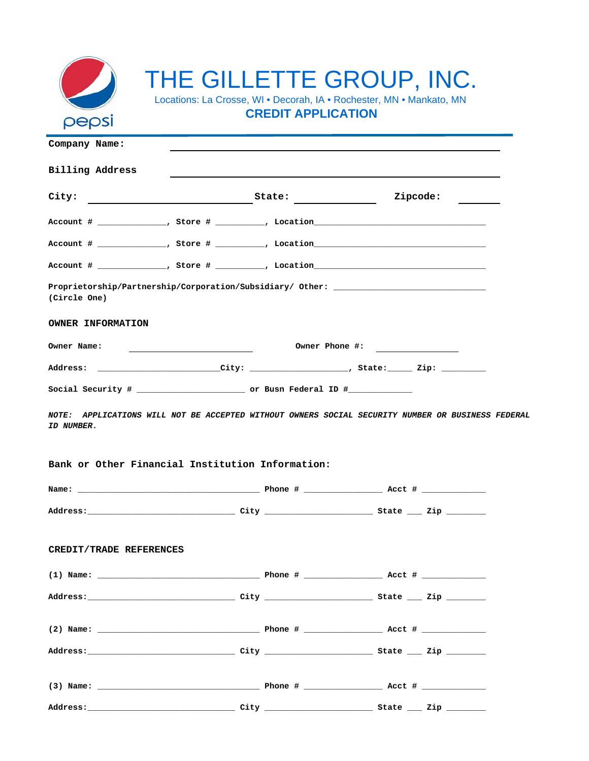

## THE GILLETTE GROUP, INC.

Locations: La Crosse, WI • Decorah, IA • Rochester, MN • Mankato, MN **CREDIT APPLICATION**

**Company Name: Billing Address City: State: Account # \_\_\_\_\_\_\_\_\_\_\_\_\_\_, Store # \_\_\_\_\_\_\_\_\_\_, Location\_\_\_\_\_\_\_\_\_\_\_\_\_\_\_\_\_\_\_\_\_\_\_\_\_\_\_\_\_\_\_\_\_\_\_** Account # \_\_\_\_\_\_\_\_\_\_\_\_\_\_\_, Store # \_\_\_\_\_\_\_\_\_\_, Location\_\_\_\_\_ Account # \_\_\_\_\_\_\_\_\_\_\_\_\_\_, Store # \_\_\_\_\_\_\_\_\_\_, Location\_\_\_\_\_\_\_\_\_\_\_\_\_\_\_\_\_\_\_\_\_\_\_\_\_\_\_ Proprietorship/Partnership/Corporation/Subsidiary/ Other: **(Circle One) OWNER INFORMATION Owner Name: Owner Phone #:**  Address: \_\_\_\_\_\_\_\_\_\_\_\_\_\_\_\_\_\_\_\_\_\_\_\_\_\_City: \_\_\_\_\_\_\_\_\_\_\_\_\_\_\_\_\_\_\_\_, State:\_\_\_\_\_\_ Zip: \_\_\_\_\_\_\_\_\_\_\_\_\_\_\_\_\_\_\_ **Social Security # \_\_\_\_\_\_\_\_\_\_\_\_\_\_\_\_\_\_\_\_\_\_ or Busn Federal ID #\_\_\_\_\_\_\_\_\_\_\_\_\_ Bank or Other Financial Institution Information: Name: \_\_\_\_\_\_\_\_\_\_\_\_\_\_\_\_\_\_\_\_\_\_\_\_\_\_\_\_\_\_\_\_\_\_\_\_\_ Phone # \_\_\_\_\_\_\_\_\_\_\_\_\_\_\_\_ Acct # \_\_\_\_\_\_\_\_\_\_\_\_\_ Address:\_\_\_\_\_\_\_\_\_\_\_\_\_\_\_\_\_\_\_\_\_\_\_\_\_\_\_\_\_\_ City \_\_\_\_\_\_\_\_\_\_\_\_\_\_\_\_\_\_\_\_\_\_ State \_\_\_ Zip \_\_\_\_\_\_\_\_ CREDIT/TRADE REFERENCES (1) Name: \_\_\_\_\_\_\_\_\_\_\_\_\_\_\_\_\_\_\_\_\_\_\_\_\_\_\_\_\_\_\_\_\_ Phone # \_\_\_\_\_\_\_\_\_\_\_\_\_\_\_\_ Acct # \_\_\_\_\_\_\_\_\_\_\_\_\_ Address:\_\_\_\_\_\_\_\_\_\_\_\_\_\_\_\_\_\_\_\_\_\_\_\_\_\_\_\_\_\_ City \_\_\_\_\_\_\_\_\_\_\_\_\_\_\_\_\_\_\_\_\_\_ State \_\_\_ Zip \_\_\_\_\_\_\_\_ (2) Name: \_\_\_\_\_\_\_\_\_\_\_\_\_\_\_\_\_\_\_\_\_\_\_\_\_\_\_\_\_\_\_\_\_ Phone # \_\_\_\_\_\_\_\_\_\_\_\_\_\_\_\_ Acct # \_\_\_\_\_\_\_\_\_\_\_\_\_ Address:\_\_\_\_\_\_\_\_\_\_\_\_\_\_\_\_\_\_\_\_\_\_\_\_\_\_\_\_\_\_ City \_\_\_\_\_\_\_\_\_\_\_\_\_\_\_\_\_\_\_\_\_\_ State \_\_\_ Zip \_\_\_\_\_\_\_\_ (3) Name: \_\_\_\_\_\_\_\_\_\_\_\_\_\_\_\_\_\_\_\_\_\_\_\_\_\_\_\_\_\_\_\_\_ Phone # \_\_\_\_\_\_\_\_\_\_\_\_\_\_\_\_ Acct # \_\_\_\_\_\_\_\_\_\_\_\_\_ Address:\_\_\_\_\_\_\_\_\_\_\_\_\_\_\_\_\_\_\_\_\_\_\_\_\_\_\_\_\_\_ City \_\_\_\_\_\_\_\_\_\_\_\_\_\_\_\_\_\_\_\_\_\_ State \_\_\_ Zip \_\_\_\_\_\_\_\_ Zipcode:** *NOTE: APPLICATIONS WILL NOT BE ACCEPTED WITHOUT OWNERS SOCIAL SECURITY NUMBER OR BUSINESS FEDERAL ID NUMBER.*